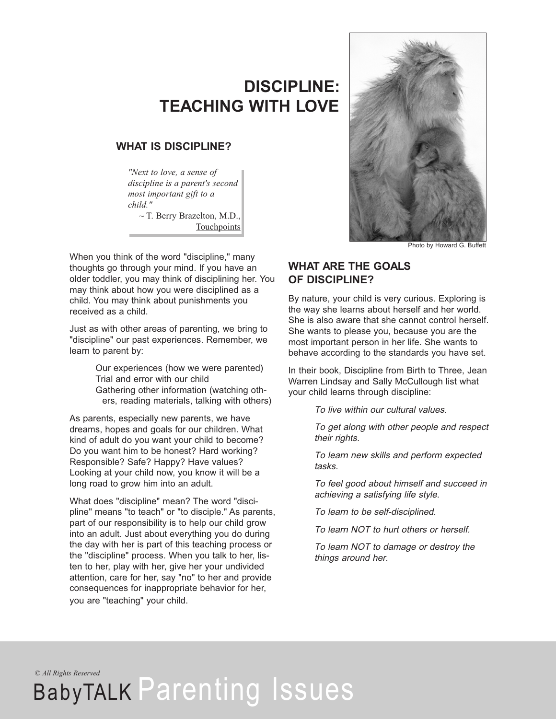## **DISCIPLINE: TEACHING WITH LOVE**

## **WHAT IS DISCIPLINE?**

*"Next to love, a sense of discipline is a parent's second most important gift to a child."*

~ T. Berry Brazelton, M.D., Touchpoints

When you think of the word "discipline," many thoughts go through your mind. If you have an older toddler, you may think of disciplining her. You may think about how you were disciplined as a child. You may think about punishments you received as a child.

Just as with other areas of parenting, we bring to "discipline" our past experiences. Remember, we learn to parent by:

> Our experiences (how we were parented) Trial and error with our child Gathering other information (watching others, reading materials, talking with others)

As parents, especially new parents, we have dreams, hopes and goals for our children. What kind of adult do you want your child to become? Do you want him to be honest? Hard working? Responsible? Safe? Happy? Have values? Looking at your child now, you know it will be a long road to grow him into an adult.

What does "discipline" mean? The word "discipline" means "to teach" or "to disciple." As parents, part of our responsibility is to help our child grow into an adult. Just about everything you do during the day with her is part of this teaching process or the "discipline" process. When you talk to her, listen to her, play with her, give her your undivided attention, care for her, say "no" to her and provide consequences for inappropriate behavior for her, you are "teaching" your child.



Photo by Howard G. Buffett

## **WHAT ARE THE GOALS OF DISCIPLINE?**

By nature, your child is very curious. Exploring is the way she learns about herself and her world. She is also aware that she cannot control herself. She wants to please you, because you are the most important person in her life. She wants to behave according to the standards you have set.

In their book, Discipline from Birth to Three, Jean Warren Lindsay and Sally McCullough list what your child learns through discipline:

To live within our cultural values.

To get along with other people and respect their rights.

To learn new skills and perform expected tasks.

To feel good about himself and succeed in achieving <sup>a</sup> satisfying life style.

To learn to be self-disciplined.

To learn NOT to hurt others or herself.

To learn NOT to damage or destroy the things around her.

*© All Rights Reserved*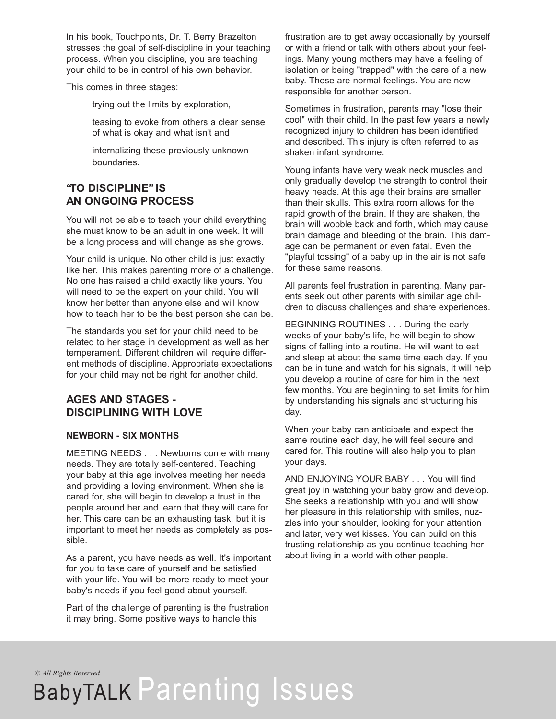In his book, Touchpoints, Dr. T. Berry Brazelton stresses the goal of self-discipline in your teaching process. When you discipline, you are teaching your child to be in control of his own behavior.

This comes in three stages:

trying out the limits by exploration,

teasing to evoke from others a clear sense of what is okay and what isn't and

internalizing these previously unknown boundaries.

## **"TO DISCIPLINE" IS AN ONGOING PROCESS**

You will not be able to teach your child everything she must know to be an adult in one week. It will be a long process and will change as she grows.

Your child is unique. No other child is just exactly like her. This makes parenting more of a challenge. No one has raised a child exactly like yours. You will need to be the expert on your child. You will know her better than anyone else and will know how to teach her to be the best person she can be.

The standards you set for your child need to be related to her stage in development as well as her temperament. Different children will require different methods of discipline. Appropriate expectations for your child may not be right for another child.

## **AGES AND STAGES - DISCIPLINING WITH LOVE**

### **NEWBORN - SIX MONTHS**

MEETING NEEDS . . . Newborns come with many needs. They are totally self-centered. Teaching your baby at this age involves meeting her needs and providing a loving environment. When she is cared for, she will begin to develop a trust in the people around her and learn that they will care for her. This care can be an exhausting task, but it is important to meet her needs as completely as possible.

As a parent, you have needs as well. It's important for you to take care of yourself and be satisfied with your life. You will be more ready to meet your baby's needs if you feel good about yourself.

Part of the challenge of parenting is the frustration it may bring. Some positive ways to handle this

frustration are to get away occasionally by yourself or with a friend or talk with others about your feelings. Many young mothers may have a feeling of isolation or being "trapped" with the care of a new baby. These are normal feelings. You are now responsible for another person.

Sometimes in frustration, parents may "lose their cool" with their child. In the past few years a newly recognized injury to children has been identified and described. This injury is often referred to as shaken infant syndrome.

Young infants have very weak neck muscles and only gradually develop the strength to control their heavy heads. At this age their brains are smaller than their skulls. This extra room allows for the rapid growth of the brain. If they are shaken, the brain will wobble back and forth, which may cause brain damage and bleeding of the brain. This damage can be permanent or even fatal. Even the "playful tossing" of a baby up in the air is not safe for these same reasons.

All parents feel frustration in parenting. Many parents seek out other parents with similar age children to discuss challenges and share experiences.

BEGINNING ROUTINES . . . During the early weeks of your baby's life, he will begin to show signs of falling into a routine. He will want to eat and sleep at about the same time each day. If you can be in tune and watch for his signals, it will help you develop a routine of care for him in the next few months. You are beginning to set limits for him by understanding his signals and structuring his day.

When your baby can anticipate and expect the same routine each day, he will feel secure and cared for. This routine will also help you to plan your days.

AND ENJOYING YOUR BABY . . . You will find great joy in watching your baby grow and develop. She seeks a relationship with you and will show her pleasure in this relationship with smiles, nuzzles into your shoulder, looking for your attention and later, very wet kisses. You can build on this trusting relationship as you continue teaching her about living in a world with other people.

*© All Rights Reserved*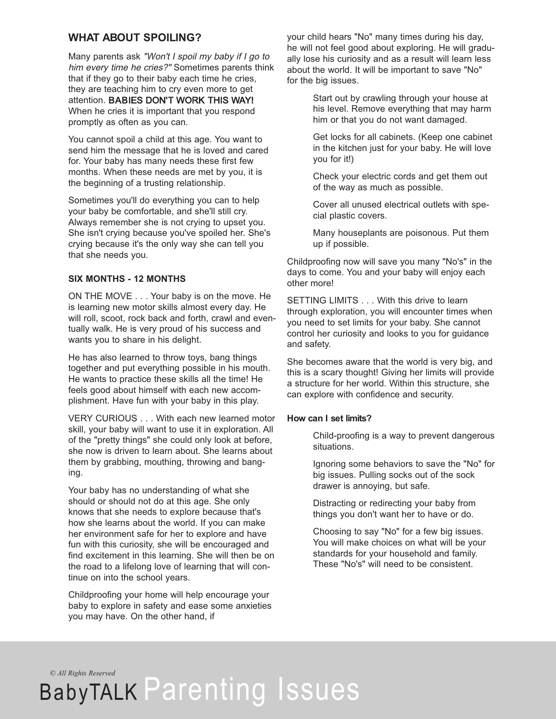## **WHAT ABOUT SPOILING?**

Many parents ask "Won't I spoil my baby if I go to him every time he cries?" Sometimes parents think that if they go to their baby each time he cries, they are teaching him to cry even more to get attention. BABIES DON'T WORK THIS WAY! When he cries it is important that you respond promptly as often as you can.

You cannot spoil a child at this age. You want to send him the message that he is loved and cared for. Your baby has many needs these first few months. When these needs are met by you, it is the beginning of a trusting relationship.

Sometimes you'll do everything you can to help your baby be comfortable, and she'll still cry. Always remember she is not crying to upset you. She isn't crying because you've spoiled her. She's crying because it's the only way she can tell you that she needs you.

#### **SIX MONTHS - 12 MONTHS**

ON THE MOVE . . . Your baby is on the move. He is learning new motor skills almost every day. He will roll, scoot, rock back and forth, crawl and eventually walk. He is very proud of his success and wants you to share in his delight.

He has also learned to throw toys, bang things together and put everything possible in his mouth. He wants to practice these skills all the time! He feels good about himself with each new accomplishment. Have fun with your baby in this play.

VERY CURIOUS . . . With each new learned motor skill, your baby will want to use it in exploration. All of the "pretty things" she could only look at before, she now is driven to learn about. She learns about them by grabbing, mouthing, throwing and banging.

Your baby has no understanding of what she should or should not do at this age. She only knows that she needs to explore because that's how she learns about the world. If you can make her environment safe for her to explore and have fun with this curiosity, she will be encouraged and find excitement in this learning. She will then be on the road to a lifelong love of learning that will continue on into the school years.

Childproofing your home will help encourage your baby to explore in safety and ease some anxieties you may have. On the other hand, if

your child hears "No" many times during his day, he will not feel good about exploring. He will gradually lose his curiosity and as a result will learn less about the world. It will be important to save "No" for the big issues.

> Start out by crawling through your house at his level. Remove everything that may harm him or that you do not want damaged.

> Get locks for all cabinets. (Keep one cabinet in the kitchen just for your baby. He will love you for it!)

Check your electric cords and get them out of the way as much as possible.

Cover all unused electrical outlets with special plastic covers.

Many houseplants are poisonous. Put them up if possible.

Childproofing now will save you many "No's" in the days to come. You and your baby will enjoy each other more!

SETTING LIMITS . . . With this drive to learn through exploration, you will encounter times when you need to set limits for your baby. She cannot control her curiosity and looks to you for guidance and safety.

She becomes aware that the world is very big, and this is a scary thought! Giving her limits will provide a structure for her world. Within this structure, she can explore with confidence and security.

#### **How can I set limits?**

Child-proofing is a way to prevent dangerous situations.

Ignoring some behaviors to save the "No" for big issues. Pulling socks out of the sock drawer is annoying, but safe.

Distracting or redirecting your baby from things you don't want her to have or do.

Choosing to say "No" for a few big issues. You will make choices on what will be your standards for your household and family. These "No's" will need to be consistent.

*© All Rights Reserved*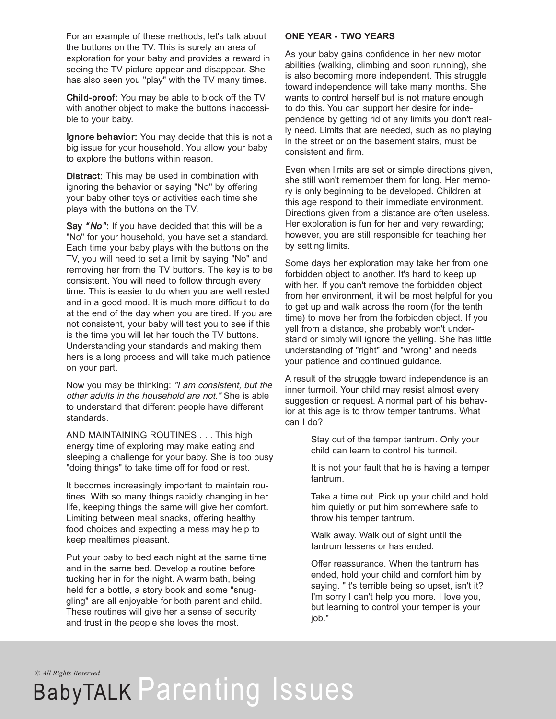For an example of these methods, let's talk about the buttons on the TV. This is surely an area of exploration for your baby and provides a reward in seeing the TV picture appear and disappear. She has also seen you "play" with the TV many times.

Child-proof: You may be able to block off the TV with another object to make the buttons inaccessible to your baby.

Ignore behavior: You may decide that this is not a big issue for your household. You allow your baby to explore the buttons within reason.

Distract: This may be used in combination with ignoring the behavior or saying "No" by offering your baby other toys or activities each time she plays with the buttons on the TV.

Say "No": If you have decided that this will be a "No" for your household, you have set a standard. Each time your baby plays with the buttons on the TV, you will need to set a limit by saying "No" and removing her from the TV buttons. The key is to be consistent. You will need to follow through every time. This is easier to do when you are well rested and in a good mood. It is much more difficult to do at the end of the day when you are tired. If you are not consistent, your baby will test you to see if this is the time you will let her touch the TV buttons. Understanding your standards and making them hers is a long process and will take much patience on your part.

Now you may be thinking: "I am consistent, but the other adults in the household are not." She is able to understand that different people have different standards.

AND MAINTAINING ROUTINES . . . This high energy time of exploring may make eating and sleeping a challenge for your baby. She is too busy "doing things" to take time off for food or rest.

It becomes increasingly important to maintain routines. With so many things rapidly changing in her life, keeping things the same will give her comfort. Limiting between meal snacks, offering healthy food choices and expecting a mess may help to keep mealtimes pleasant.

Put your baby to bed each night at the same time and in the same bed. Develop a routine before tucking her in for the night. A warm bath, being held for a bottle, a story book and some "snuggling" are all enjoyable for both parent and child. These routines will give her a sense of security and trust in the people she loves the most.

#### **ONE YEAR - TWO YEARS**

As your baby gains confidence in her new motor abilities (walking, climbing and soon running), she is also becoming more independent. This struggle toward independence will take many months. She wants to control herself but is not mature enough to do this. You can support her desire for independence by getting rid of any limits you don't really need. Limits that are needed, such as no playing in the street or on the basement stairs, must be consistent and firm.

Even when limits are set or simple directions given, she still won't remember them for long. Her memory is only beginning to be developed. Children at this age respond to their immediate environment. Directions given from a distance are often useless. Her exploration is fun for her and very rewarding; however, you are still responsible for teaching her by setting limits.

Some days her exploration may take her from one forbidden object to another. It's hard to keep up with her. If you can't remove the forbidden object from her environment, it will be most helpful for you to get up and walk across the room (for the tenth time) to move her from the forbidden object. If you yell from a distance, she probably won't understand or simply will ignore the yelling. She has little understanding of "right" and "wrong" and needs your patience and continued guidance.

A result of the struggle toward independence is an inner turmoil. Your child may resist almost every suggestion or request. A normal part of his behavior at this age is to throw temper tantrums. What can I do?

> Stay out of the temper tantrum. Only your child can learn to control his turmoil.

It is not your fault that he is having a temper tantrum.

Take a time out. Pick up your child and hold him quietly or put him somewhere safe to throw his temper tantrum.

Walk away. Walk out of sight until the tantrum lessens or has ended.

Offer reassurance. When the tantrum has ended, hold your child and comfort him by saying. "It's terrible being so upset, isn't it? I'm sorry I can't help you more. I love you, but learning to control your temper is your job."

*© All Rights Reserved*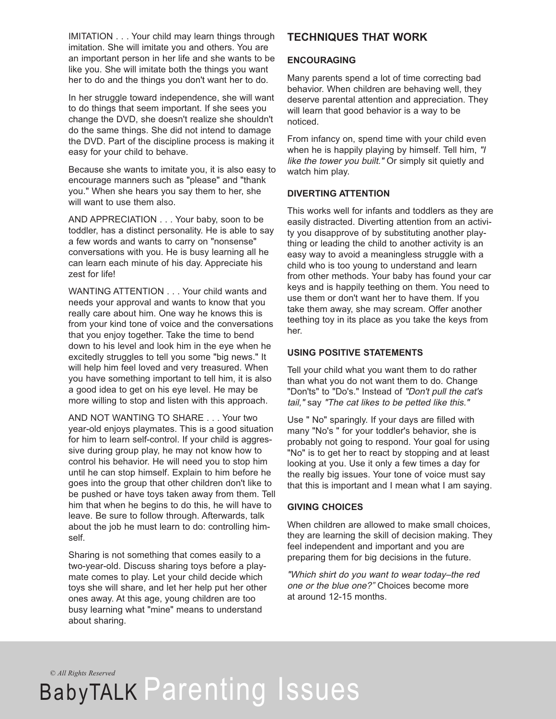IMITATION . . . Your child may learn things through imitation. She will imitate you and others. You are an important person in her life and she wants to be like you. She will imitate both the things you want her to do and the things you don't want her to do.

In her struggle toward independence, she will want to do things that seem important. If she sees you change the DVD, she doesn't realize she shouldn't do the same things. She did not intend to damage the DVD. Part of the discipline process is making it easy for your child to behave.

Because she wants to imitate you, it is also easy to encourage manners such as "please" and "thank you." When she hears you say them to her, she will want to use them also.

AND APPRECIATION . . . Your baby, soon to be toddler, has a distinct personality. He is able to say a few words and wants to carry on "nonsense" conversations with you. He is busy learning all he can learn each minute of his day. Appreciate his zest for life!

WANTING ATTENTION . . . Your child wants and needs your approval and wants to know that you really care about him. One way he knows this is from your kind tone of voice and the conversations that you enjoy together. Take the time to bend down to his level and look him in the eye when he excitedly struggles to tell you some "big news." It will help him feel loved and very treasured. When you have something important to tell him, it is also a good idea to get on his eye level. He may be more willing to stop and listen with this approach.

AND NOT WANTING TO SHARE . . . Your two year-old enjoys playmates. This is a good situation for him to learn self-control. If your child is aggressive during group play, he may not know how to control his behavior. He will need you to stop him until he can stop himself. Explain to him before he goes into the group that other children don't like to be pushed or have toys taken away from them. Tell him that when he begins to do this, he will have to leave. Be sure to follow through. Afterwards, talk about the job he must learn to do: controlling himself.

Sharing is not something that comes easily to a two-year-old. Discuss sharing toys before a playmate comes to play. Let your child decide which toys she will share, and let her help put her other ones away. At this age, young children are too busy learning what "mine" means to understand about sharing.

## **TECHNIQUES THAT WORK**

#### **ENCOURAGING**

Many parents spend a lot of time correcting bad behavior. When children are behaving well, they deserve parental attention and appreciation. They will learn that good behavior is a way to be noticed.

From infancy on, spend time with your child even when he is happily playing by himself. Tell him, "I like the tower you built." Or simply sit quietly and watch him play.

### **DIVERTING ATTENTION**

This works well for infants and toddlers as they are easily distracted. Diverting attention from an activity you disapprove of by substituting another plaything or leading the child to another activity is an easy way to avoid a meaningless struggle with a child who is too young to understand and learn from other methods. Your baby has found your car keys and is happily teething on them. You need to use them or don't want her to have them. If you take them away, she may scream. Offer another teething toy in its place as you take the keys from her.

### **USING POSITIVE STATEMENTS**

Tell your child what you want them to do rather than what you do not want them to do. Change "Don'ts" to "Do's." Instead of "Don't pull the cat's tail," say "The cat likes to be petted like this."

Use " No" sparingly. If your days are filled with many "No's " for your toddler's behavior, she is probably not going to respond. Your goal for using "No" is to get her to react by stopping and at least looking at you. Use it only a few times a day for the really big issues. Your tone of voice must say that this is important and I mean what I am saying.

### **GIVING CHOICES**

When children are allowed to make small choices, they are learning the skill of decision making. They feel independent and important and you are preparing them for big decisions in the future.

"Which shirt do you want to wear today–the red one or the blue one?" Choices become more at around 12-15 months.

*© All Rights Reserved*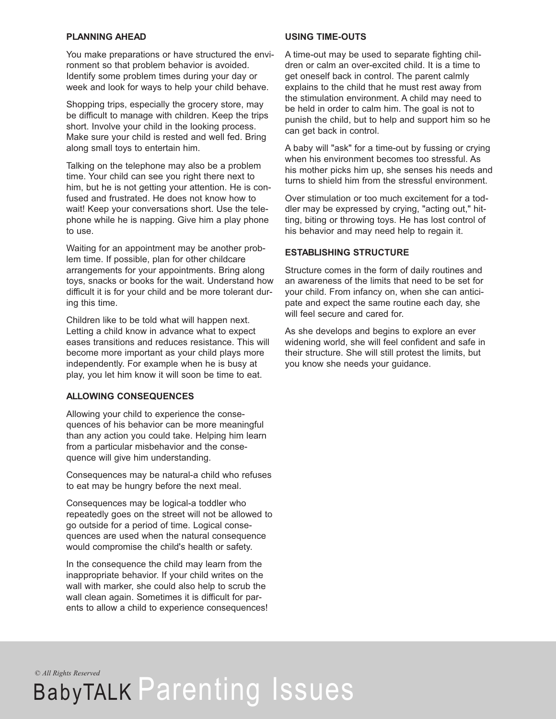#### **PLANNING AHEAD**

You make preparations or have structured the environment so that problem behavior is avoided. Identify some problem times during your day or week and look for ways to help your child behave.

Shopping trips, especially the grocery store, may be difficult to manage with children. Keep the trips short. Involve your child in the looking process. Make sure your child is rested and well fed. Bring along small toys to entertain him.

Talking on the telephone may also be a problem time. Your child can see you right there next to him, but he is not getting your attention. He is confused and frustrated. He does not know how to wait! Keep your conversations short. Use the telephone while he is napping. Give him a play phone to use.

Waiting for an appointment may be another problem time. If possible, plan for other childcare arrangements for your appointments. Bring along toys, snacks or books for the wait. Understand how difficult it is for your child and be more tolerant during this time.

Children like to be told what will happen next. Letting a child know in advance what to expect eases transitions and reduces resistance. This will become more important as your child plays more independently. For example when he is busy at play, you let him know it will soon be time to eat.

#### **ALLOWING CONSEQUENCES**

Allowing your child to experience the consequences of his behavior can be more meaningful than any action you could take. Helping him learn from a particular misbehavior and the consequence will give him understanding.

Consequences may be natural-a child who refuses to eat may be hungry before the next meal.

Consequences may be logical-a toddler who repeatedly goes on the street will not be allowed to go outside for a period of time. Logical consequences are used when the natural consequence would compromise the child's health or safety.

In the consequence the child may learn from the inappropriate behavior. If your child writes on the wall with marker, she could also help to scrub the wall clean again. Sometimes it is difficult for parents to allow a child to experience consequences!

#### **USING TIME-OUTS**

A time-out may be used to separate fighting children or calm an over-excited child. It is a time to get oneself back in control. The parent calmly explains to the child that he must rest away from the stimulation environment. A child may need to be held in order to calm him. The goal is not to punish the child, but to help and support him so he can get back in control.

A baby will "ask" for a time-out by fussing or crying when his environment becomes too stressful. As his mother picks him up, she senses his needs and turns to shield him from the stressful environment.

Over stimulation or too much excitement for a toddler may be expressed by crying, "acting out," hitting, biting or throwing toys. He has lost control of his behavior and may need help to regain it.

#### **ESTABLISHING STRUCTURE**

Structure comes in the form of daily routines and an awareness of the limits that need to be set for your child. From infancy on, when she can anticipate and expect the same routine each day, she will feel secure and cared for.

As she develops and begins to explore an ever widening world, she will feel confident and safe in their structure. She will still protest the limits, but you know she needs your guidance.

*© All Rights Reserved*